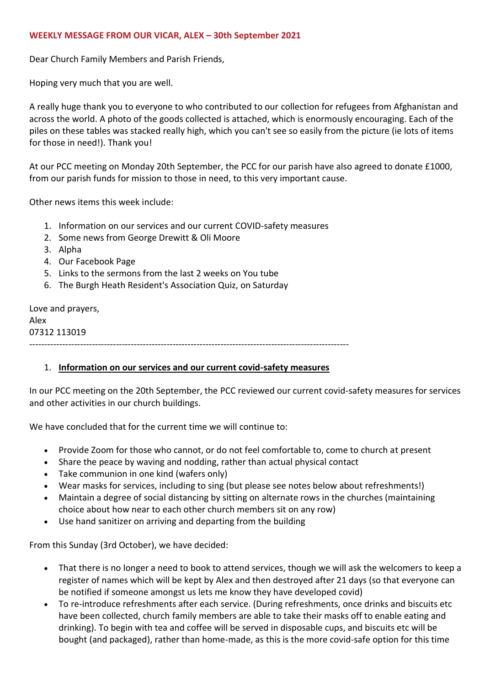#### **WEEKLY MESSAGE FROM OUR VICAR, ALEX – 30th September 2021**

Dear Church Family Members and Parish Friends,

Hoping very much that you are well.

A really huge thank you to everyone to who contributed to our collection for refugees from Afghanistan and across the world. A photo of the goods collected is attached, which is enormously encouraging. Each of the piles on these tables was stacked really high, which you can't see so easily from the picture (ie lots of items for those in need!). Thank you!

At our PCC meeting on Monday 20th September, the PCC for our parish have also agreed to donate £1000, from our parish funds for mission to those in need, to this very important cause.

Other news items this week include:

- 1. Information on our services and our current COVID-safety measures
- 2. Some news from George Drewitt & Oli Moore
- 3. Alpha
- 4. Our Facebook Page
- 5. Links to the sermons from the last 2 weeks on You tube
- 6. The Burgh Heath Resident's Association Quiz, on Saturday

Love and prayers, Alex 07312 113019 -----------------------------------------------------------------------------------------------------------

### 1. **Information on our services and our current covid-safety measures**

In our PCC meeting on the 20th September, the PCC reviewed our current covid-safety measures for services and other activities in our church buildings.

We have concluded that for the current time we will continue to:

- Provide Zoom for those who cannot, or do not feel comfortable to, come to church at present
- Share the peace by waving and nodding, rather than actual physical contact
- Take communion in one kind (wafers only)
- Wear masks for services, including to sing (but please see notes below about refreshments!)
- Maintain a degree of social distancing by sitting on alternate rows in the churches (maintaining choice about how near to each other church members sit on any row)
- Use hand sanitizer on arriving and departing from the building

From this Sunday (3rd October), we have decided:

- That there is no longer a need to book to attend services, though we will ask the welcomers to keep a register of names which will be kept by Alex and then destroyed after 21 days (so that everyone can be notified if someone amongst us lets me know they have developed covid)
- To re-introduce refreshments after each service. (During refreshments, once drinks and biscuits etc have been collected, church family members are able to take their masks off to enable eating and drinking). To begin with tea and coffee will be served in disposable cups, and biscuits etc will be bought (and packaged), rather than home-made, as this is the more covid-safe option for this time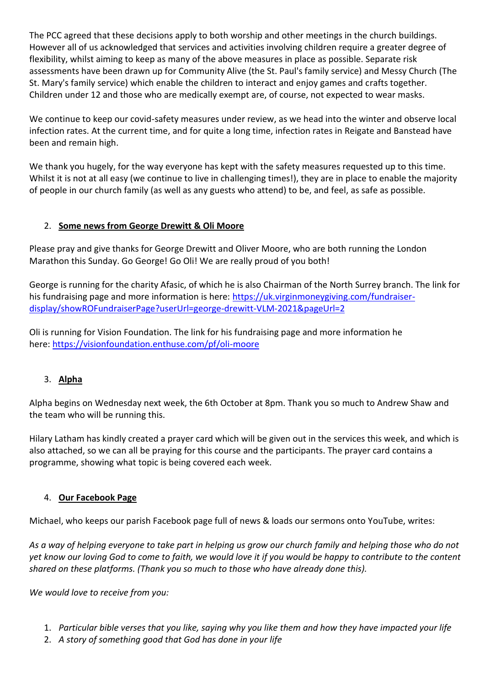The PCC agreed that these decisions apply to both worship and other meetings in the church buildings. However all of us acknowledged that services and activities involving children require a greater degree of flexibility, whilst aiming to keep as many of the above measures in place as possible. Separate risk assessments have been drawn up for Community Alive (the St. Paul's family service) and Messy Church (The St. Mary's family service) which enable the children to interact and enjoy games and crafts together. Children under 12 and those who are medically exempt are, of course, not expected to wear masks.

We continue to keep our covid-safety measures under review, as we head into the winter and observe local infection rates. At the current time, and for quite a long time, infection rates in Reigate and Banstead have been and remain high.

We thank you hugely, for the way everyone has kept with the safety measures requested up to this time. Whilst it is not at all easy (we continue to live in challenging times!), they are in place to enable the majority of people in our church family (as well as any guests who attend) to be, and feel, as safe as possible.

## 2. **Some news from George Drewitt & Oli Moore**

Please pray and give thanks for George Drewitt and Oliver Moore, who are both running the London Marathon this Sunday. Go George! Go Oli! We are really proud of you both!

George is running for the charity Afasic, of which he is also Chairman of the North Surrey branch. The link for his fundraising page and more information is here: [https://uk.virginmoneygiving.com/fundraiser](https://uk.virginmoneygiving.com/fundraiser-display/showROFundraiserPage?userUrl=george-drewitt-VLM-2021&pageUrl=2)[display/showROFundraiserPage?userUrl=george-drewitt-VLM-2021&pageUrl=2](https://uk.virginmoneygiving.com/fundraiser-display/showROFundraiserPage?userUrl=george-drewitt-VLM-2021&pageUrl=2)

Oli is running for Vision Foundation. The link for his fundraising page and more information he here: <https://visionfoundation.enthuse.com/pf/oli-moore>

# 3. **Alpha**

Alpha begins on Wednesday next week, the 6th October at 8pm. Thank you so much to Andrew Shaw and the team who will be running this.

Hilary Latham has kindly created a prayer card which will be given out in the services this week, and which is also attached, so we can all be praying for this course and the participants. The prayer card contains a programme, showing what topic is being covered each week.

## 4. **Our Facebook Page**

Michael, who keeps our parish Facebook page full of news & loads our sermons onto YouTube, writes:

*As a way of helping everyone to take part in helping us grow our church family and helping those who do not yet know our loving God to come to faith, we would love it if you would be happy to contribute to the content shared on these platforms. (Thank you so much to those who have already done this).*

*We would love to receive from you:*

- 1. *Particular bible verses that you like, saying why you like them and how they have impacted your life*
- 2. *A story of something good that God has done in your life*